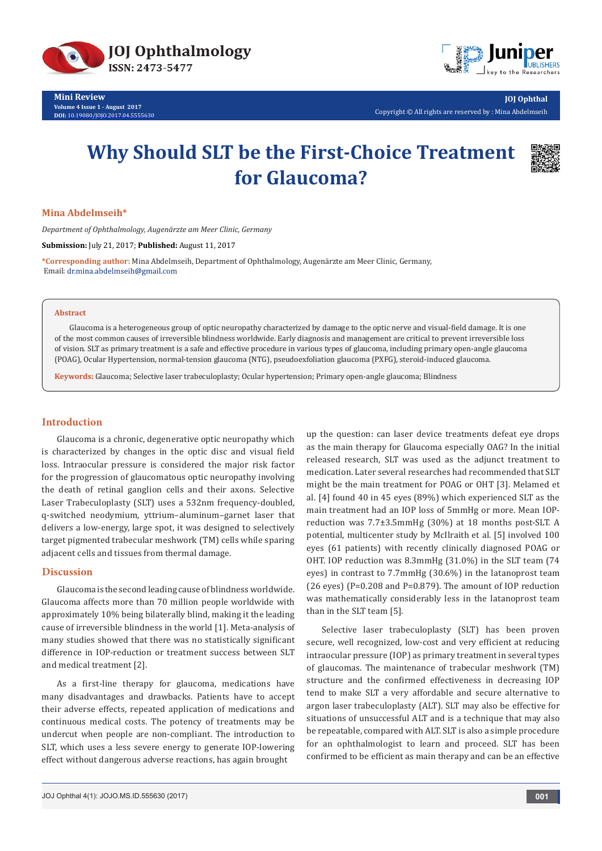

**Mini Review Volume 4 Issue 1 - August 2017 DOI:** [10.19080/JOJO.2017.04.5555630](http://dx.doi.org/10.19080/JOJO.2017.04.555630)



**JOJ Ophthal** Copyright © All rights are reserved by : Mina Abdelmseih

# **Why Should SLT be the First-Choice Treatment for Glaucoma?**



## **Mina Abdelmseih\***

*Department of Ophthalmology, Augenärzte am Meer Clinic, Germany*

**Submission:** July 21, 2017; **Published:** August 11, 2017

**\*Corresponding author:** Mina Abdelmseih, Department of Ophthalmology, Augenärzte am Meer Clinic, Germany, Email: dr.mina.abdelmseih@gmail.com

#### **Abstract**

Glaucoma is a heterogeneous group of optic neuropathy characterized by damage to the optic nerve and visual-field damage. It is one of the most common causes of irreversible blindness worldwide. Early diagnosis and management are critical to prevent irreversible loss of vision. SLT as primary treatment is a safe and effective procedure in various types of glaucoma, including primary open-angle glaucoma (POAG), Ocular Hypertension, normal-tension glaucoma (NTG), pseudoexfoliation glaucoma (PXFG), steroid-induced glaucoma.

**Keywords:** Glaucoma; Selective laser trabeculoplasty; Ocular hypertension; Primary open-angle glaucoma; Blindness

#### **Introduction**

Glaucoma is a chronic, degenerative optic neuropathy which is characterized by changes in the optic disc and visual field loss. Intraocular pressure is considered the major risk factor for the progression of glaucomatous optic neuropathy involving the death of retinal ganglion cells and their axons. Selective Laser Trabeculoplasty (SLT) uses a 532nm frequency-doubled, q-switched neodymium, yttrium–aluminum–garnet laser that delivers a low-energy, large spot, it was designed to selectively target pigmented trabecular meshwork (TM) cells while sparing adjacent cells and tissues from thermal damage.

## **Discussion**

Glaucoma is the second leading cause of blindness worldwide. Glaucoma affects more than 70 million people worldwide with approximately 10% being bilaterally blind, making it the leading cause of irreversible blindness in the world [1]. Meta-analysis of many studies showed that there was no statistically significant difference in IOP-reduction or treatment success between SLT and medical treatment [2].

As a first-line therapy for glaucoma, medications have many disadvantages and drawbacks. Patients have to accept their adverse effects, repeated application of medications and continuous medical costs. The potency of treatments may be undercut when people are non-compliant. The introduction to SLT, which uses a less severe energy to generate IOP-lowering effect without dangerous adverse reactions, has again brought

up the question: can laser device treatments defeat eye drops as the main therapy for Glaucoma especially OAG? In the initial released research, SLT was used as the adjunct treatment to medication. Later several researches had recommended that SLT might be the main treatment for POAG or OHT [3]. Melamed et al. [4] found 40 in 45 eyes (89%) which experienced SLT as the main treatment had an IOP loss of 5mmHg or more. Mean IOPreduction was 7.7±3.5mmHg (30%) at 18 months post-SLT. A potential, multicenter study by McIlraith et al. [5] involved 100 eyes (61 patients) with recently clinically diagnosed POAG or OHT. IOP reduction was 8.3mmHg (31.0%) in the SLT team (74 eyes) in contrast to 7.7mmHg (30.6%) in the latanoprost team (26 eyes) (P=0.208 and P=0.879). The amount of IOP reduction was mathematically considerably less in the latanoprost team than in the SLT team [5].

Selective laser trabeculoplasty (SLT) has been proven secure, well recognized, low-cost and very efficient at reducing intraocular pressure (IOP) as primary treatment in several types of glaucomas. The maintenance of trabecular meshwork (TM) structure and the confirmed effectiveness in decreasing IOP tend to make SLT a very affordable and secure alternative to argon laser trabeculoplasty (ALT). SLT may also be effective for situations of unsuccessful ALT and is a technique that may also be repeatable, compared with ALT. SLT is also a simple procedure for an ophthalmologist to learn and proceed. SLT has been confirmed to be efficient as main therapy and can be an effective